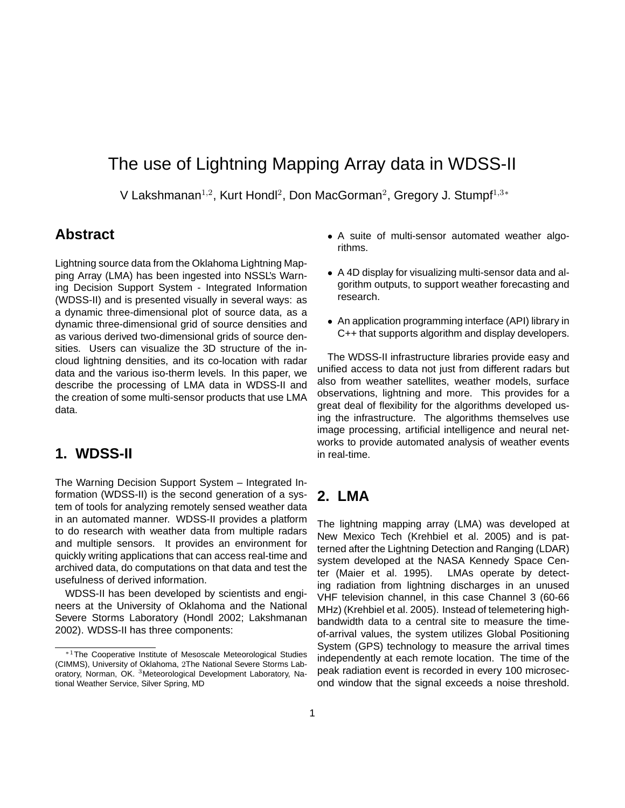# The use of Lightning Mapping Array data in WDSS-II

V Lakshmanan<sup>1,2</sup>, Kurt Hondl<sup>2</sup>, Don MacGorman<sup>2</sup>, Gregory J. Stumpf<sup>1,3\*</sup>

### **Abstract**

Lightning source data from the Oklahoma Lightning Mapping Array (LMA) has been ingested into NSSL's Warning Decision Support System - Integrated Information (WDSS-II) and is presented visually in several ways: as a dynamic three-dimensional plot of source data, as a dynamic three-dimensional grid of source densities and as various derived two-dimensional grids of source densities. Users can visualize the 3D structure of the incloud lightning densities, and its co-location with radar data and the various iso-therm levels. In this paper, we describe the processing of LMA data in WDSS-II and the creation of some multi-sensor products that use LMA data.

### **1. WDSS-II**

The Warning Decision Support System – Integrated Information (WDSS-II) is the second generation of a system of tools for analyzing remotely sensed weather data in an automated manner. WDSS-II provides a platform to do research with weather data from multiple radars and multiple sensors. It provides an environment for quickly writing applications that can access real-time and archived data, do computations on that data and test the usefulness of derived information.

WDSS-II has been developed by scientists and engineers at the University of Oklahoma and the National Severe Storms Laboratory (Hondl 2002; Lakshmanan 2002). WDSS-II has three components:

- A suite of multi-sensor automated weather algorithms.
- A 4D display for visualizing multi-sensor data and algorithm outputs, to support weather forecasting and research.
- An application programming interface (API) library in C++ that supports algorithm and display developers.

The WDSS-II infrastructure libraries provide easy and unified access to data not just from different radars but also from weather satellites, weather models, surface observations, lightning and more. This provides for a great deal of flexibility for the algorithms developed using the infrastructure. The algorithms themselves use image processing, artificial intelligence and neural networks to provide automated analysis of weather events in real-time.

## **2. LMA**

The lightning mapping array (LMA) was developed at New Mexico Tech (Krehbiel et al. 2005) and is patterned after the Lightning Detection and Ranging (LDAR) system developed at the NASA Kennedy Space Center (Maier et al. 1995). LMAs operate by detecting radiation from lightning discharges in an unused VHF television channel, in this case Channel 3 (60-66 MHz) (Krehbiel et al. 2005). Instead of telemetering highbandwidth data to a central site to measure the timeof-arrival values, the system utilizes Global Positioning System (GPS) technology to measure the arrival times independently at each remote location. The time of the peak radiation event is recorded in every 100 microsecond window that the signal exceeds a noise threshold.

<sup>∗</sup>1The Cooperative Institute of Mesoscale Meteorological Studies (CIMMS), University of Oklahoma, 2The National Severe Storms Laboratory, Norman, OK. <sup>3</sup>Meteorological Development Laboratory, National Weather Service, Silver Spring, MD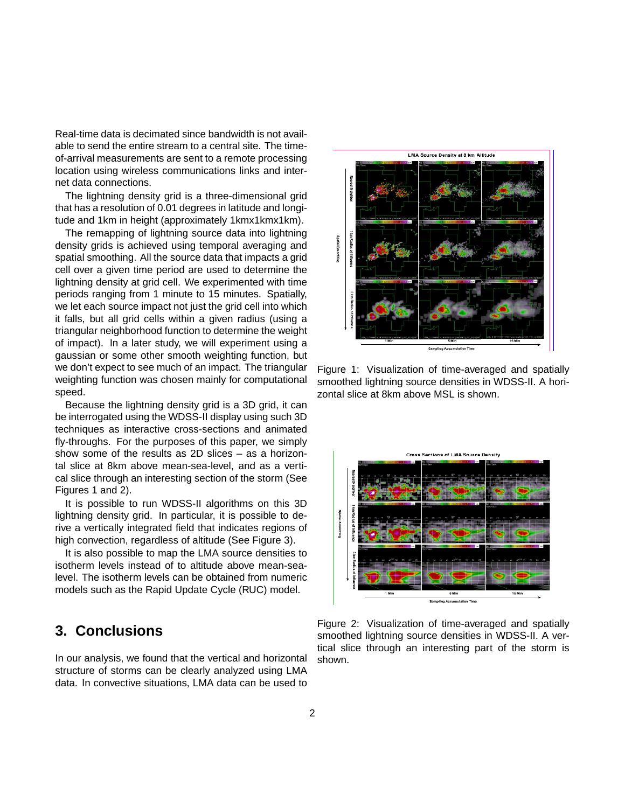Real-time data is decimated since bandwidth is not available to send the entire stream to a central site. The timeof-arrival measurements are sent to a remote processing location using wireless communications links and internet data connections.

The lightning density grid is a three-dimensional grid that has a resolution of 0.01 degrees in latitude and longitude and 1km in height (approximately 1kmx1kmx1km).

The remapping of lightning source data into lightning density grids is achieved using temporal averaging and spatial smoothing. All the source data that impacts a grid cell over a given time period are used to determine the lightning density at grid cell. We experimented with time periods ranging from 1 minute to 15 minutes. Spatially, we let each source impact not just the grid cell into which it falls, but all grid cells within a given radius (using a triangular neighborhood function to determine the weight of impact). In a later study, we will experiment using a gaussian or some other smooth weighting function, but we don't expect to see much of an impact. The triangular weighting function was chosen mainly for computational speed.

Because the lightning density grid is a 3D grid, it can be interrogated using the WDSS-II display using such 3D techniques as interactive cross-sections and animated fly-throughs. For the purposes of this paper, we simply show some of the results as 2D slices – as a horizontal slice at 8km above mean-sea-level, and as a vertical slice through an interesting section of the storm (See Figures 1 and 2).

It is possible to run WDSS-II algorithms on this 3D lightning density grid. In particular, it is possible to derive a vertically integrated field that indicates regions of high convection, regardless of altitude (See Figure 3).

It is also possible to map the LMA source densities to isotherm levels instead of to altitude above mean-sealevel. The isotherm levels can be obtained from numeric models such as the Rapid Update Cycle (RUC) model.

## **3. Conclusions**

In our analysis, we found that the vertical and horizontal structure of storms can be clearly analyzed using LMA data. In convective situations, LMA data can be used to



Figure 1: Visualization of time-averaged and spatially smoothed lightning source densities in WDSS-II. A horizontal slice at 8km above MSL is shown.



Figure 2: Visualization of time-averaged and spatially smoothed lightning source densities in WDSS-II. A vertical slice through an interesting part of the storm is shown.